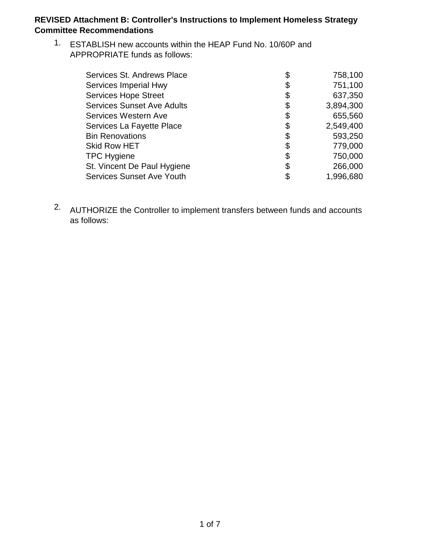1. ESTABLISH new accounts within the HEAP Fund No. 10/60P and APPROPRIATE funds as follows:

| Services St. Andrews Place        | \$<br>758,100   |
|-----------------------------------|-----------------|
| Services Imperial Hwy             | \$<br>751,100   |
| <b>Services Hope Street</b>       | \$<br>637,350   |
| <b>Services Sunset Ave Adults</b> | \$<br>3,894,300 |
| Services Western Ave              | \$<br>655,560   |
| Services La Fayette Place         | \$<br>2,549,400 |
| <b>Bin Renovations</b>            | \$<br>593,250   |
| <b>Skid Row HET</b>               | \$<br>779,000   |
| <b>TPC Hygiene</b>                | \$<br>750,000   |
| St. Vincent De Paul Hygiene       | \$<br>266,000   |
| <b>Services Sunset Ave Youth</b>  | \$<br>1,996,680 |

<sup>2.</sup> AUTHORIZE the Controller to implement transfers between funds and accounts as follows: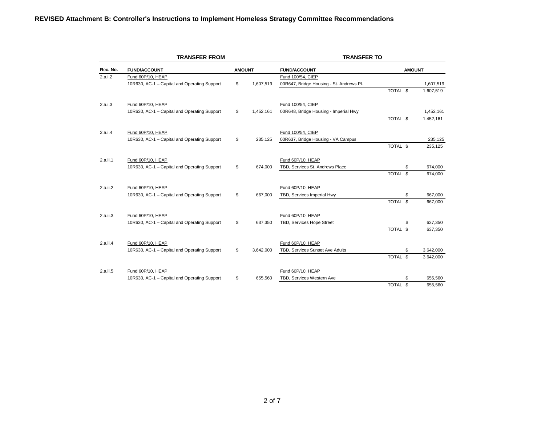|          | <b>TRANSFER FROM</b>                         |    | <b>TRANSFER TO</b> |                                          |               |    |           |  |  |
|----------|----------------------------------------------|----|--------------------|------------------------------------------|---------------|----|-----------|--|--|
| Rec. No. | <b>FUND/ACCOUNT</b>                          |    | <b>AMOUNT</b>      | <b>FUND/ACCOUNT</b>                      | <b>AMOUNT</b> |    |           |  |  |
| 2.a.i.2  | Fund 60P/10, HEAP                            |    |                    | Fund 100/54, CIEP                        |               |    |           |  |  |
|          | 10R630, AC-1 - Capital and Operating Support | \$ | 1,607,519          | 00R647, Bridge Housing - St. Andrews Pl. |               |    | 1,607,519 |  |  |
|          |                                              |    |                    |                                          | TOTAL \$      |    | 1,607,519 |  |  |
| 2.a.i.3  | Fund 60P/10, HEAP                            |    |                    | Fund 100/54, CIEP                        |               |    |           |  |  |
|          | 10R630, AC-1 - Capital and Operating Support | \$ | 1,452,161          | 00R648, Bridge Housing - Imperial Hwy    |               |    | 1,452,161 |  |  |
|          |                                              |    |                    |                                          | TOTAL \$      |    | 1,452,161 |  |  |
| 2.a.i.4  | Fund 60P/10, HEAP                            |    |                    | Fund 100/54, CIEP                        |               |    |           |  |  |
|          | 10R630, AC-1 - Capital and Operating Support | \$ | 235,125            | 00R637, Bridge Housing - VA Campus       |               |    | 235,125   |  |  |
|          |                                              |    |                    |                                          | TOTAL \$      |    | 235,125   |  |  |
| 2.a.ii.1 | Fund 60P/10, HEAP                            |    |                    | Fund 60P/10, HEAP                        |               |    |           |  |  |
|          | 10R630, AC-1 - Capital and Operating Support | \$ | 674,000            | TBD, Services St. Andrews Place          |               | \$ | 674,000   |  |  |
|          |                                              |    |                    |                                          | TOTAL \$      |    | 674,000   |  |  |
| 2.a.ii.2 | Fund 60P/10, HEAP                            |    |                    | Fund 60P/10, HEAP                        |               |    |           |  |  |
|          | 10R630, AC-1 - Capital and Operating Support | \$ | 667,000            | TBD, Services Imperial Hwy               |               | \$ | 667,000   |  |  |
|          |                                              |    |                    |                                          | TOTAL \$      |    | 667,000   |  |  |
| 2.a.ii.3 | Fund 60P/10, HEAP                            |    |                    | Fund 60P/10, HEAP                        |               |    |           |  |  |
|          | 10R630, AC-1 - Capital and Operating Support | \$ | 637,350            | TBD, Services Hope Street                |               | \$ | 637,350   |  |  |
|          |                                              |    |                    |                                          | TOTAL \$      |    | 637,350   |  |  |
| 2.a.ii.4 | Fund 60P/10, HEAP                            |    |                    | Fund 60P/10, HEAP                        |               |    |           |  |  |
|          | 10R630, AC-1 - Capital and Operating Support | \$ | 3,642,000          | TBD, Services Sunset Ave Adults          |               | \$ | 3,642,000 |  |  |
|          |                                              |    |                    |                                          | TOTAL \$      |    | 3,642,000 |  |  |
| 2.a.ii.5 | Fund 60P/10, HEAP                            |    |                    | Fund 60P/10, HEAP                        |               |    |           |  |  |
|          | 10R630, AC-1 - Capital and Operating Support | \$ | 655,560            | TBD, Services Western Ave                |               | \$ | 655,560   |  |  |
|          |                                              |    |                    |                                          | TOTAL \$      |    | 655,560   |  |  |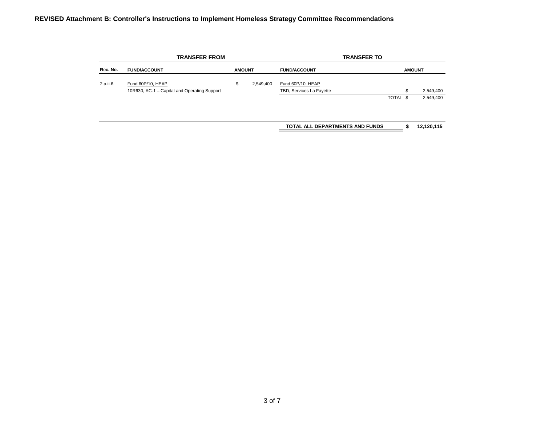|          | <b>TRANSFER FROM</b>                         |               |           |                                 | <b>TRANSFER TO</b> |               |
|----------|----------------------------------------------|---------------|-----------|---------------------------------|--------------------|---------------|
| Rec. No. | <b>FUND/ACCOUNT</b>                          | <b>AMOUNT</b> |           | <b>FUND/ACCOUNT</b>             |                    | <b>AMOUNT</b> |
| 2.a.ii.6 | Fund 60P/10, HEAP                            | \$            | 2,549,400 | Fund 60P/10, HEAP               |                    |               |
|          | 10R630, AC-1 - Capital and Operating Support |               |           | TBD, Services La Fayette        | \$                 | 2,549,400     |
|          |                                              |               |           |                                 | TOTAL \$           | 2,549,400     |
|          |                                              |               |           |                                 |                    |               |
|          |                                              |               |           | TOTAL ALL DEPARTMENTS AND FUNDS | æ                  | 12,120,115    |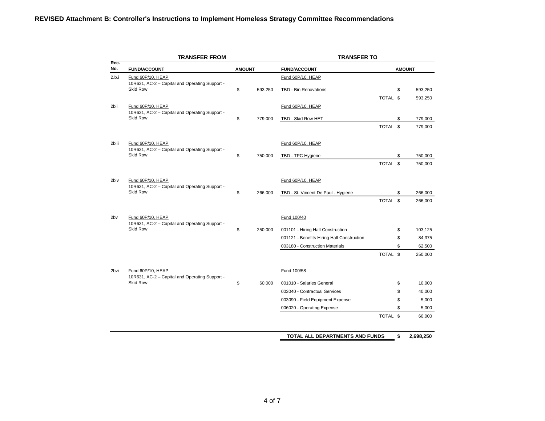|                                                                   | <b>TRANSFER FROM</b>                                                |               |                                     | <b>TRANSFER TO</b>                         |          |         |               |
|-------------------------------------------------------------------|---------------------------------------------------------------------|---------------|-------------------------------------|--------------------------------------------|----------|---------|---------------|
| Rec.<br>No.                                                       | <b>FUND/ACCOUNT</b>                                                 | <b>AMOUNT</b> |                                     | <b>FUND/ACCOUNT</b>                        |          |         | <b>AMOUNT</b> |
| 2.b.i                                                             | Fund 60P/10, HEAP                                                   |               |                                     | Fund 60P/10, HEAP                          |          |         |               |
|                                                                   | 10R631, AC-2 - Capital and Operating Support -<br><b>Skid Row</b>   | \$            | 593,250                             | TBD - Bin Renovations                      |          | \$      | 593,250       |
|                                                                   |                                                                     |               |                                     |                                            | TOTAL \$ |         | 593,250       |
| 2bii                                                              | Fund 60P/10, HEAP                                                   |               |                                     | Fund 60P/10, HEAP                          |          |         |               |
|                                                                   | 10R631, AC-2 - Capital and Operating Support -<br><b>Skid Row</b>   | \$            | 779,000                             | TBD - Skid Row HET                         |          | \$      | 779,000       |
|                                                                   |                                                                     |               |                                     |                                            | TOTAL \$ |         | 779,000       |
| 2biii                                                             | Fund 60P/10, HEAP                                                   |               |                                     | Fund 60P/10, HEAP                          |          |         |               |
| 10R631, AC-2 - Capital and Operating Support -<br><b>Skid Row</b> | \$                                                                  | 750,000       | TBD - TPC Hygiene                   |                                            | \$       | 750,000 |               |
|                                                                   |                                                                     |               |                                     | TOTAL \$                                   |          | 750,000 |               |
| 2biv                                                              | Fund 60P/10, HEAP<br>10R631, AC-2 - Capital and Operating Support - |               |                                     | Fund 60P/10, HEAP                          |          |         |               |
| Skid Row                                                          | \$                                                                  | 266,000       | TBD - St. Vincent De Paul - Hygiene |                                            | \$       | 266,000 |               |
|                                                                   |                                                                     |               |                                     |                                            | TOTAL \$ |         | 266,000       |
| 2bv                                                               | Fund 60P/10, HEAP<br>10R631, AC-2 - Capital and Operating Support - |               |                                     | Fund 100/40                                |          |         |               |
|                                                                   | <b>Skid Row</b>                                                     | \$            | 250,000                             | 001101 - Hiring Hall Construction          |          | \$      | 103,125       |
|                                                                   |                                                                     |               |                                     | 001121 - Benefits Hiring Hall Construction |          | \$      | 84,375        |
|                                                                   |                                                                     |               |                                     | 003180 - Construction Materials            |          | \$      | 62,500        |
|                                                                   |                                                                     |               |                                     |                                            | TOTAL \$ |         | 250,000       |
| 2 <sub>bvi</sub>                                                  | Fund 60P/10, HEAP<br>10R631, AC-2 - Capital and Operating Support - |               |                                     | Fund 100/58                                |          |         |               |
|                                                                   | <b>Skid Row</b>                                                     | \$            | 60,000                              | 001010 - Salaries General                  |          | \$      | 10,000        |
|                                                                   |                                                                     |               |                                     | 003040 - Contractual Services              |          | \$      | 40,000        |
|                                                                   |                                                                     |               |                                     | 003090 - Field Equipment Expense           |          | \$      | 5,000         |
|                                                                   |                                                                     |               |                                     | 006020 - Operating Expense                 |          | \$      | 5,000         |
|                                                                   |                                                                     |               |                                     |                                            | TOTAL \$ |         | 60,000        |
|                                                                   |                                                                     |               |                                     | TOTAL ALL DEPARTMENTS AND FUNDS            |          | \$      | 2,698,250     |
|                                                                   |                                                                     |               |                                     |                                            |          |         |               |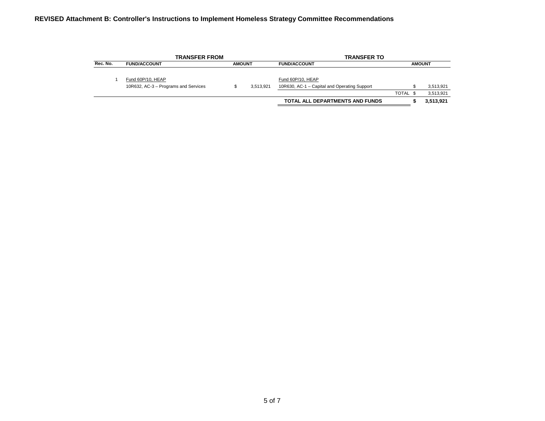|          | <b>TRANSFER FROM</b>                                      |               |           | <b>TRANSFER TO</b>                                                |          |               |
|----------|-----------------------------------------------------------|---------------|-----------|-------------------------------------------------------------------|----------|---------------|
| Rec. No. | <b>FUND/ACCOUNT</b>                                       | <b>AMOUNT</b> |           | <b>FUND/ACCOUNT</b>                                               |          | <b>AMOUNT</b> |
|          | Fund 60P/10, HEAP<br>10R632, AC-3 - Programs and Services |               | 3.513.921 | Fund 60P/10, HEAP<br>10R630, AC-1 - Capital and Operating Support |          | 3.513.921     |
|          |                                                           |               |           |                                                                   | TOTAL \$ | 3.513.921     |
|          |                                                           |               |           | TOTAL ALL DEPARTMENTS AND FUNDS                                   |          | 3,513,921     |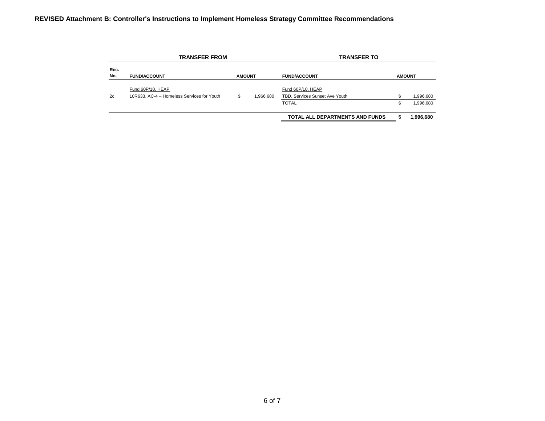|             | <b>TRANSFER FROM</b>                                            |               |           | <b>TRANSFER TO</b>                                  |    |               |
|-------------|-----------------------------------------------------------------|---------------|-----------|-----------------------------------------------------|----|---------------|
| Rec.<br>No. | <b>FUND/ACCOUNT</b>                                             | <b>AMOUNT</b> |           | <b>FUND/ACCOUNT</b>                                 |    | <b>AMOUNT</b> |
| 2c          | Fund 60P/10, HEAP<br>10R633, AC-4 - Homeless Services for Youth | \$            | 1.966.680 | Fund 60P/10, HEAP<br>TBD, Services Sunset Ave Youth |    | 1,996,680     |
|             |                                                                 |               |           | <b>TOTAL</b>                                        | \$ | 1,996,680     |
|             |                                                                 |               |           | TOTAL ALL DEPARTMENTS AND FUNDS                     | S  | 1,996,680     |